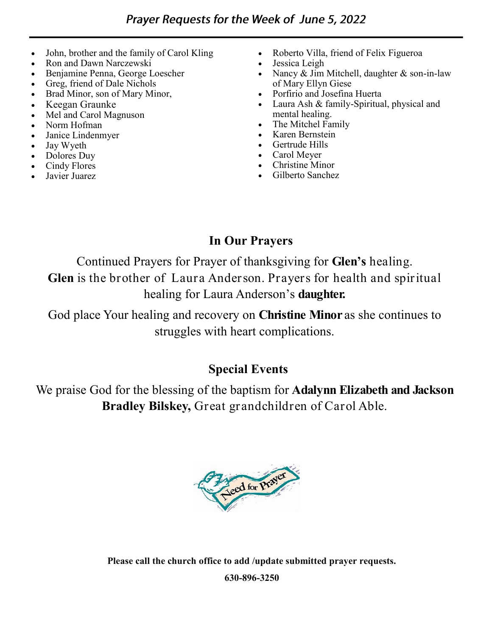- John, brother and the family of Carol Kling
- Ron and Dawn Narczewski
- Benjamine Penna, George Loescher
- Greg, friend of Dale Nichols
- Brad Minor, son of Mary Minor,
- Keegan Graunke
- Mel and Carol Magnuson
- Norm Hofman
- Janice Lindenmyer
- Jay Wyeth
- Dolores Duy
- Cindy Flores
- Javier Juarez
- Roberto Villa, friend of Felix Figueroa
- Jessica Leigh
- Nancy  $&$  Jim Mitchell, daughter  $&$  son-in-law of Mary Ellyn Giese
- Porfirio and Josefina Huerta
- Laura Ash & family-Spiritual, physical and mental healing.
- The Mitchel Family
- Karen Bernstein
- Gertrude Hills
- Carol Meyer
- Christine Minor
- Gilberto Sanchez

# **In Our Prayers**

Continued Prayers for Prayer of thanksgiving for **Glen's** healing. **Glen** is the brother of Laura Anderson. Prayers for health and spiritual healing for Laura Anderson's **daughter.** 

God place Your healing and recovery on **Christine Minor** as she continues to struggles with heart complications.

## **Special Events**

We praise God for the blessing of the baptism for **Adalynn Elizabeth and Jackson Bradley Bilskey,** Great grandchildren of Carol Able.



**Please call the church office to add /update submitted prayer requests.**

**630-896-3250**